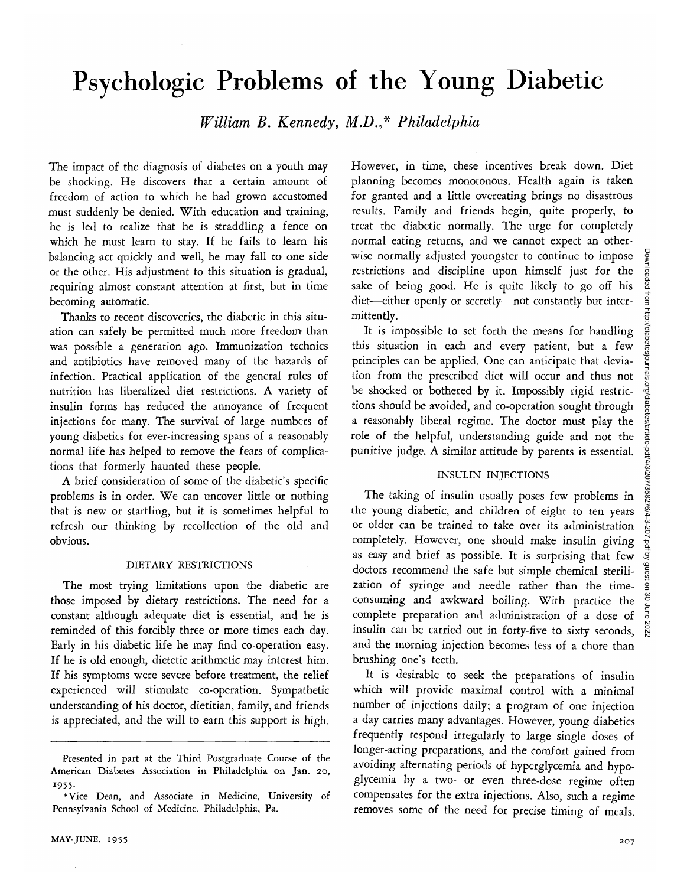# Psychologic Problems of the Young Diabetic

*William B. Kennedy, M.D.\* Philadelphia*

The impact of the diagnosis of diabetes on a youth may be shocking. He discovers that a certain amount of freedom of action to which he had grown accustomed must suddenly be denied. With education and training, he is led to realize that he is straddling a fence on which he must learn to stay. If he fails to learn his balancing act quickly and well, he may fall to one side or the other. His adjustment to this situation is gradual, requiring almost constant attention at first, but in time becoming automatic.

Thanks to recent discoveries, the diabetic in this situation can safely be permitted much more freedom than was possible a generation ago. Immunization technics and antibiotics have removed many of the hazards of infection. Practical application of the general rules of nutrition has liberalized diet restrictions. A variety of insulin forms has reduced the annoyance of frequent injections for many. The survival of large numbers of young diabetics for ever-increasing spans of a reasonably normal life has helped to remove the fears of complications that formerly haunted these people.

A brief consideration of some of the diabetic's specific problems is in order. We can uncover little or nothing that is new or startling, but it is sometimes helpful to refresh our thinking by recollection of the old and obvious.

#### DIETARY RESTRICTIONS

The most trying limitations upon the diabetic are those imposed by dietary restrictions. The need for a constant although adequate diet is essential, and he is reminded of this forcibly three or more times each day. Early in his diabetic life he may find co-operation easy. If he is old enough, dietetic arithmetic may interest him. If his symptoms were severe before treatment, the relief experienced will stimulate co-operation. Sympathetic understanding of his doctor, dietitian, family, and friends is appreciated, and the will to earn this support is high.

However, in time, these incentives break down. Diet planning becomes monotonous. Health again is taken for granted and a little overeating brings no disastrous results. Family and friends begin, quite properly, to treat the diabetic normally. The urge for completely normal eating returns, and we cannot expect an otherwise normally adjusted youngster to continue to impose restrictions and discipline upon himself just for the sake of being good. He is quite likely to go off his diet—either openly or secretly—not constantly but intermittently.

It is impossible to set forth the means for handling this situation in each and every patient, but a few principles can be applied. One can anticipate that deviation from the prescribed diet will occur and thus not be shocked or bothered by it. Impossibly rigid restrictions should be avoided, and co-operation sought through a reasonably liberal regime. The doctor must play the role of the helpful, understanding guide and not the punitive judge. A similar attitude by parents is essential.

#### INSULIN INJECTIONS

The taking of insulin usually poses few problems in the young diabetic, and children of eight to ten years or older can be trained to take over its administration completely. However, one should make insulin giving as easy and brief as possible. It is surprising that few doctors recommend the safe but simple chemical sterilization of syringe and needle rather than the timeconsuming and awkward boiling. With practice the complete preparation and administration of a dose of insulin can be carried out in forty-five to sixty seconds, and the morning injection becomes less of a chore than brushing one's teeth.

It is desirable to seek the preparations of insulin which will provide maximal control with a minimal number of injections daily; a program of one injection a day carries many advantages. However, young diabetics frequently respond irregularly to large single doses of longer-acting preparations, and the comfort gained from avoiding alternating periods of hyperglycemia and hypoglycemia by a two- or even three-dose regime often compensates for the extra injections. Also, such a regime removes some of the need for precise timing of meals.

Presented in part at the Third Postgraduate Course of the American Diabetes Association in Philadelphia on Jan. 20, 1955-

<sup>\*</sup>Vice Dean, and Associate in Medicine, University of Pennsylvania School of Medicine, Philadelphia, Pa.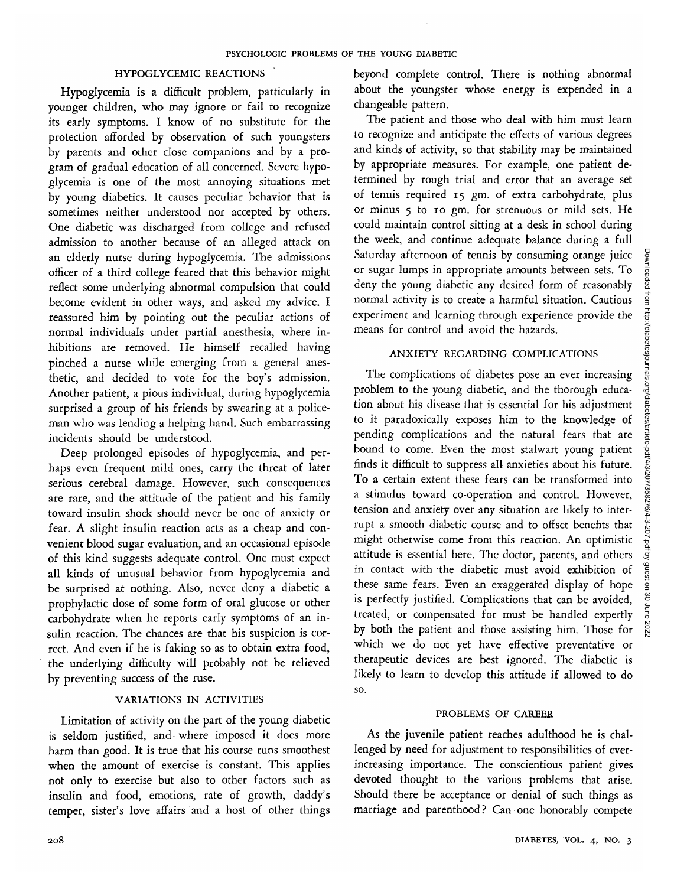## HYPOGLYCEMIC REACTIONS

Hypoglycemia is a difficult problem, particularly in younger children, who may ignore or fail to recognize its early symptoms. I know of no substitute for the protection afforded by observation of such youngsters by parents and other close companions and by a program of gradual education of all concerned. Severe hypoglycemia is one of the most annoying situations met by young diabetics. It causes peculiar behavior that is sometimes neither understood nor accepted by others. One diabetic was discharged from college and refused admission to another because of an alleged attack on an elderly nurse during hypoglycemia. The admissions officer of a third college feared that this behavior might reflect some underlying abnormal compulsion that could become evident in other ways, and asked my advice. I reassured him by pointing out the peculiar actions of normal individuals under partial anesthesia, where inhibitions are removed. He himself recalled having pinched a nurse while emerging from a general anesthetic, and decided to vote for the boy's admission. Another patient, a pious individual, during hypoglycemia surprised a group of his friends by swearing at a policeman who was lending a helping hand. Such embarrassing incidents should be understood.

Deep prolonged episodes of hypoglycemia, and perhaps even frequent mild ones, carry the threat of later serious cerebral damage. However, such consequences are rare, and the attitude of the patient and his family toward insulin shock should never be one of anxiety or fear. A slight insulin reaction acts as a cheap and convenient blood sugar evaluation, and an occasional episode of this kind suggests adequate control. One must expect all kinds of unusual behavior from hypoglycemia and be surprised at nothing. Also, never deny a diabetic a prophylactic dose of some form of oral glucose or other carbohydrate when he reports early symptoms of an insulin reaction. The chances are that his suspicion is correct. And even if he is faking so as to obtain extra food, the underlying difficulty will probably not be relieved by preventing success of the ruse.

## VARIATIONS IN ACTIVITIES

Limitation of activity on the part of the young diabetic is seldom justified, and-where imposed it does more harm than good. It is true that his course runs smoothest when the amount of exercise is constant. This applies not only to exercise but also to other factors such as insulin and food, emotions, rate of growth, daddy's temper, sister's love affairs and a host of other things beyond complete control. There is nothing abnormal about the youngster whose energy is expended in a changeable pattern.

The patient and those who deal with him must learn to recognize and anticipate the effects of various degrees and kinds of activity, so that stability may be maintained by appropriate measures. For example, one patient determined by rough trial and error that an average set of tennis required 15 gm. of extra carbohydrate, plus or minus 5 to 10 gm. for strenuous or mild sets. He could maintain control sitting at a desk in school during the week, and continue adequate balance during a full Saturday afternoon of tennis by consuming orange juice or sugar lumps in appropriate amounts between sets. To deny the young diabetic any desired form of reasonably normal activity is to create a harmful situation. Cautious experiment and learning through experience provide the means for control and avoid the hazards.

# ANXIETY REGARDING COMPLICATIONS

The complications of diabetes pose an ever increasing problem to the young diabetic, and the thorough education about his disease that is essential for his adjustment to it paradoxically exposes him to the knowledge of pending complications and the natural fears that are bound to come. Even the most stalwart young patient finds it difficult to suppress all anxieties about his future. To a certain extent these fears can be transformed into a stimulus toward co-operation and control. However, tension and anxiety over any situation are likely to interrupt a smooth diabetic course and to offset benefits that might otherwise come from this reaction. An optimistic attitude is essential here. The doctor, parents, and others in contact with the diabetic must avoid exhibition of these same fears. Even an exaggerated display of hope is perfectly justified. Complications that can be avoided, treated, or compensated for must be handled expertly by both the patient and those assisting him. Those for which we do not yet have effective preventative or therapeutic devices are best ignored. The diabetic is likely to learn to develop this attitude if allowed to do **so.**

#### PROBLEMS OF CAREER

As the juvenile patient reaches adulthood he is challenged by need for adjustment to responsibilities of everincreasing importance. The conscientious patient gives devoted thought to the various problems that arise. Should there be acceptance or denial of such things as marriage and parenthood? Can one honorably compete